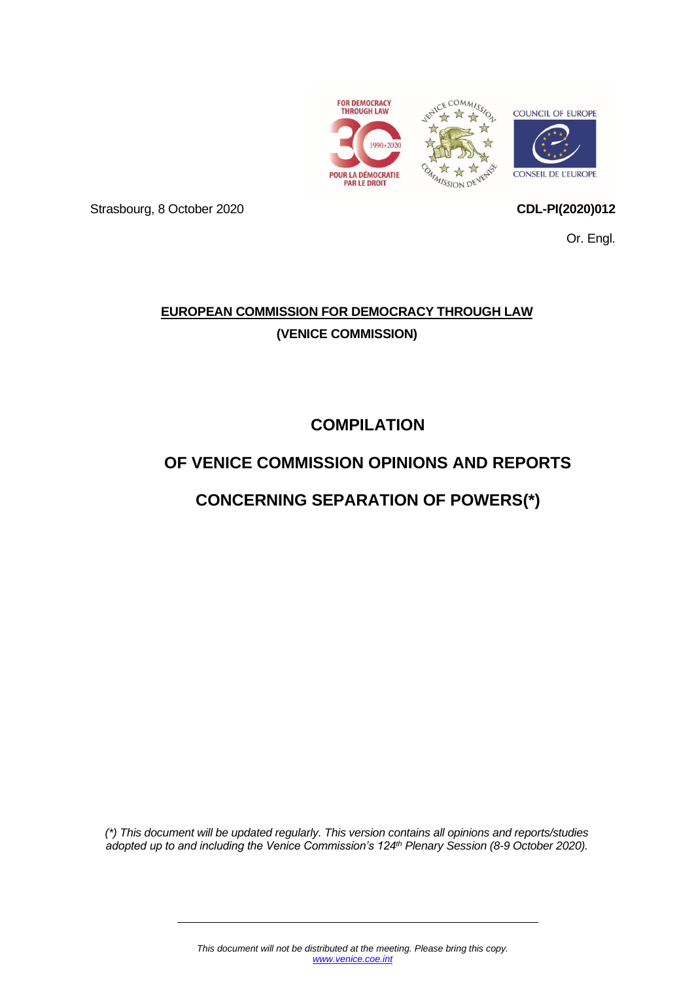

Strasbourg, 8 October 2020 **CDL-PI(2020)012**

Or. Engl.

# **EUROPEAN COMMISSION FOR DEMOCRACY THROUGH LAW (VENICE COMMISSION)**

**COMPILATION**

# **OF VENICE COMMISSION OPINIONS AND REPORTS**

# **CONCERNING SEPARATION OF POWERS(\*)**

*(\*) This document will be updated regularly. This version contains all opinions and reports/studies adopted up to and including the Venice Commission's 124 th Plenary Session (8-9 October 2020).*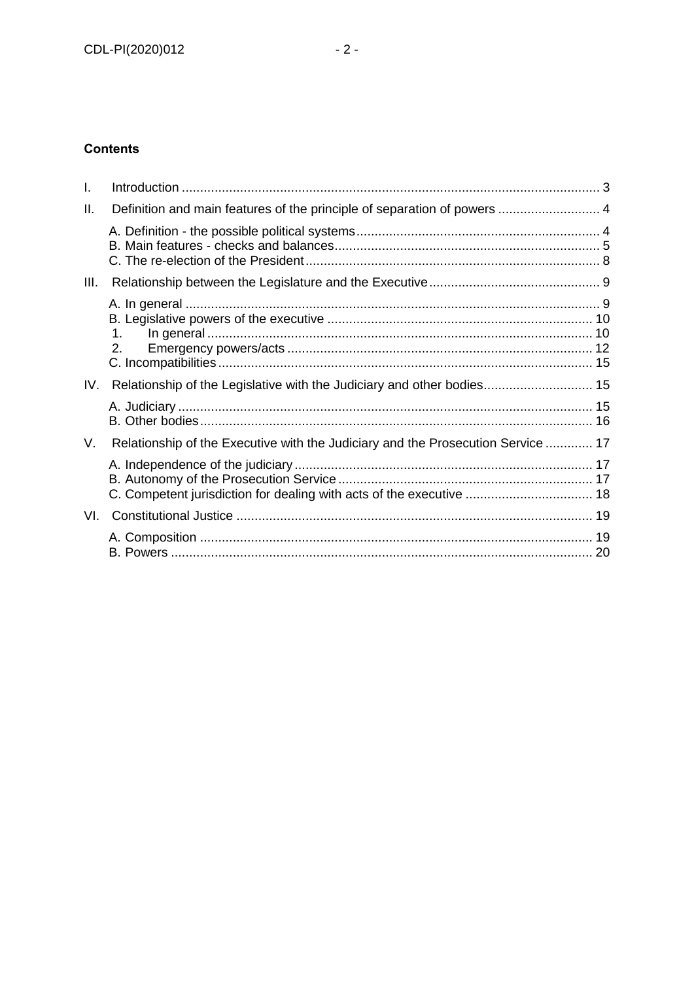# **Contents**

| I.   |                                                                                  |  |
|------|----------------------------------------------------------------------------------|--|
| Ш.   | Definition and main features of the principle of separation of powers  4         |  |
|      |                                                                                  |  |
| III. |                                                                                  |  |
|      | 1.<br>2 <sub>1</sub>                                                             |  |
| IV.  | Relationship of the Legislative with the Judiciary and other bodies 15           |  |
|      |                                                                                  |  |
| V.   | Relationship of the Executive with the Judiciary and the Prosecution Service  17 |  |
|      | C. Competent jurisdiction for dealing with acts of the executive  18             |  |
| VI.  |                                                                                  |  |
|      |                                                                                  |  |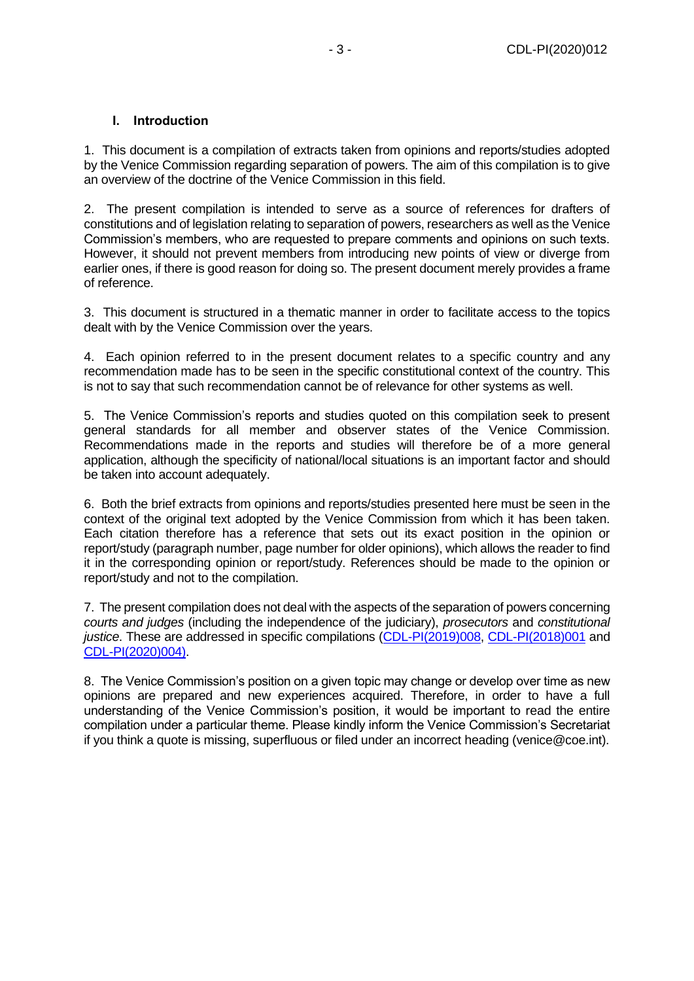## **I. Introduction**

<span id="page-2-0"></span>1. This document is a compilation of extracts taken from opinions and reports/studies adopted by the Venice Commission regarding separation of powers. The aim of this compilation is to give an overview of the doctrine of the Venice Commission in this field.

2. The present compilation is intended to serve as a source of references for drafters of constitutions and of legislation relating to separation of powers, researchers as well as the Venice Commission's members, who are requested to prepare comments and opinions on such texts. However, it should not prevent members from introducing new points of view or diverge from earlier ones, if there is good reason for doing so. The present document merely provides a frame of reference.

3. This document is structured in a thematic manner in order to facilitate access to the topics dealt with by the Venice Commission over the years.

4. Each opinion referred to in the present document relates to a specific country and any recommendation made has to be seen in the specific constitutional context of the country. This is not to say that such recommendation cannot be of relevance for other systems as well.

5. The Venice Commission's reports and studies quoted on this compilation seek to present general standards for all member and observer states of the Venice Commission. Recommendations made in the reports and studies will therefore be of a more general application, although the specificity of national/local situations is an important factor and should be taken into account adequately.

6. Both the brief extracts from opinions and reports/studies presented here must be seen in the context of the original text adopted by the Venice Commission from which it has been taken. Each citation therefore has a reference that sets out its exact position in the opinion or report/study (paragraph number, page number for older opinions), which allows the reader to find it in the corresponding opinion or report/study. References should be made to the opinion or report/study and not to the compilation.

7. The present compilation does not deal with the aspects of the separation of powers concerning *courts and judges* (including the independence of the judiciary), *prosecutors* and *constitutional justice*. These are addressed in specific compilations [\(CDL-PI\(2019\)008,](https://www.venice.coe.int/webforms/documents/?pdf=CDL-PI(2020)008-e) [CDL-PI\(2018\)001](https://www.venice.coe.int/webforms/documents/?pdf=CDL-PI(2018)001-e) and [CDL-PI\(2020\)004\).](https://www.venice.coe.int/webforms/documents/?pdf=CDL-PI(2020)004-e)

8. The Venice Commission's position on a given topic may change or develop over time as new opinions are prepared and new experiences acquired. Therefore, in order to have a full understanding of the Venice Commission's position, it would be important to read the entire compilation under a particular theme. Please kindly inform the Venice Commission's Secretariat if you think a quote is missing, superfluous or filed under an incorrect heading (venice@coe.int).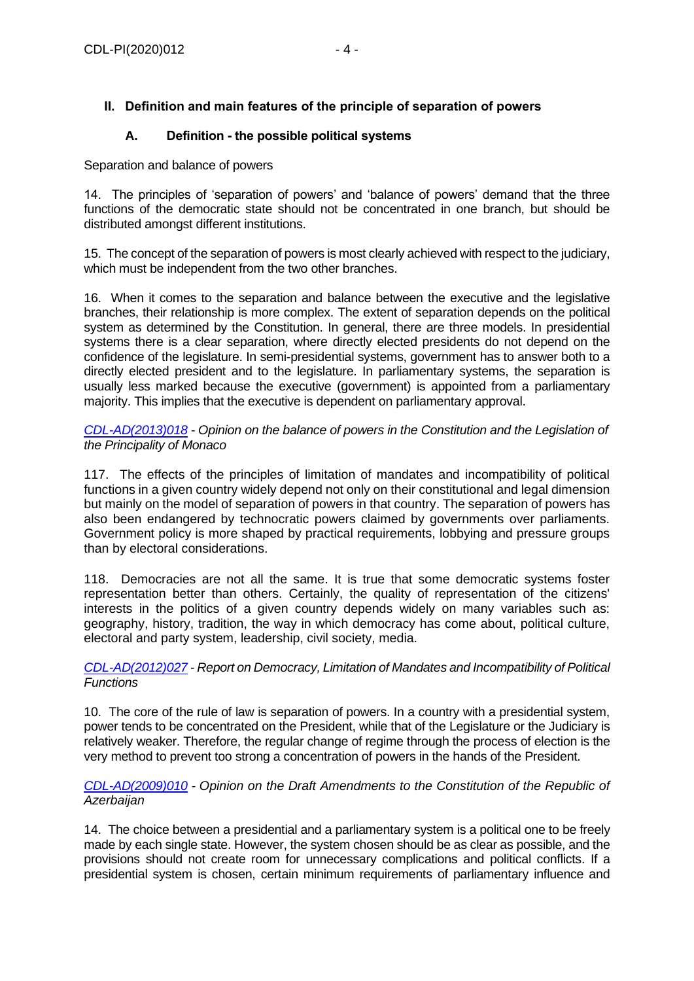# <span id="page-3-0"></span>**II. Definition and main features of the principle of separation of powers**

## **A. Definition - the possible political systems**

<span id="page-3-1"></span>Separation and balance of powers

14. The principles of 'separation of powers' and 'balance of powers' demand that the three functions of the democratic state should not be concentrated in one branch, but should be distributed amongst different institutions.

15. The concept of the separation of powers is most clearly achieved with respect to the judiciary, which must be independent from the two other branches.

16. When it comes to the separation and balance between the executive and the legislative branches, their relationship is more complex. The extent of separation depends on the political system as determined by the Constitution. In general, there are three models. In presidential systems there is a clear separation, where directly elected presidents do not depend on the confidence of the legislature. In semi-presidential systems, government has to answer both to a directly elected president and to the legislature. In parliamentary systems, the separation is usually less marked because the executive (government) is appointed from a parliamentary majority. This implies that the executive is dependent on parliamentary approval.

*[CDL-AD\(2013\)018](https://www.venice.coe.int/webforms/documents/?pdf=CDL-AD(2013)018-e) - Opinion on the balance of powers in the Constitution and the Legislation of the Principality of Monaco*

117. The effects of the principles of limitation of mandates and incompatibility of political functions in a given country widely depend not only on their constitutional and legal dimension but mainly on the model of separation of powers in that country. The separation of powers has also been endangered by technocratic powers claimed by governments over parliaments. Government policy is more shaped by practical requirements, lobbying and pressure groups than by electoral considerations.

118. Democracies are not all the same. It is true that some democratic systems foster representation better than others. Certainly, the quality of representation of the citizens' interests in the politics of a given country depends widely on many variables such as: geography, history, tradition, the way in which democracy has come about, political culture, electoral and party system, leadership, civil society, media.

#### *[CDL-AD\(2012\)027](https://www.venice.coe.int/webforms/documents/?pdf=CDL-ad(2012)027-e) - Report on Democracy, Limitation of Mandates and Incompatibility of Political Functions*

10. The core of the rule of law is separation of powers. In a country with a presidential system, power tends to be concentrated on the President, while that of the Legislature or the Judiciary is relatively weaker. Therefore, the regular change of regime through the process of election is the very method to prevent too strong a concentration of powers in the hands of the President.

## *[CDL-AD\(2009\)010](https://www.venice.coe.int/webforms/documents/?pdf=CDL-ad(2009)010-e) - Opinion on the Draft Amendments to the Constitution of the Republic of Azerbaijan*

14. The choice between a presidential and a parliamentary system is a political one to be freely made by each single state. However, the system chosen should be as clear as possible, and the provisions should not create room for unnecessary complications and political conflicts. If a presidential system is chosen, certain minimum requirements of parliamentary influence and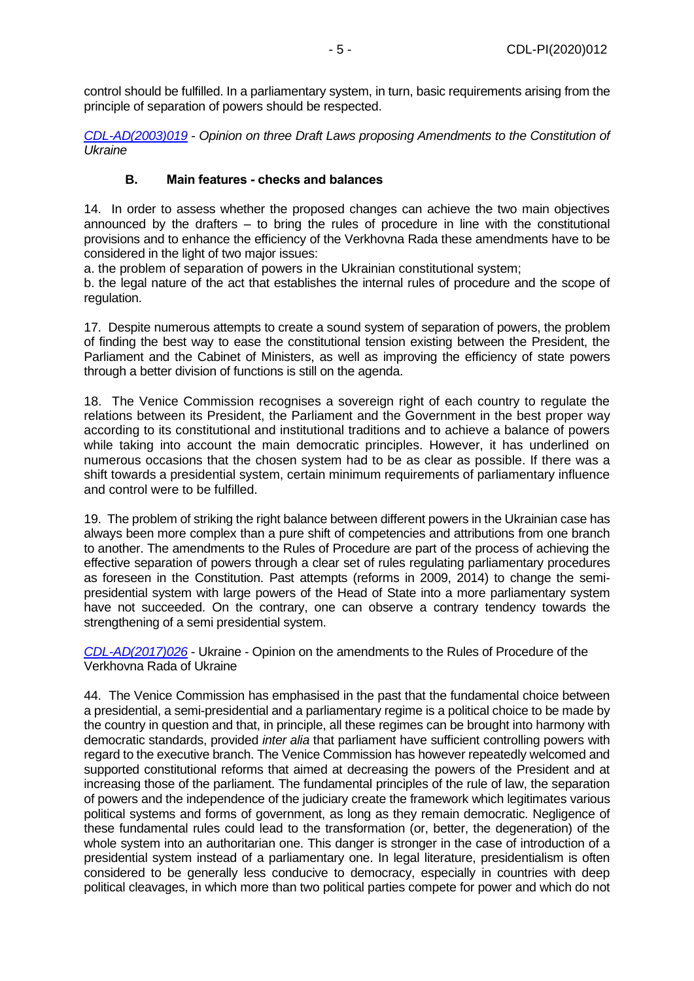control should be fulfilled. In a parliamentary system, in turn, basic requirements arising from the principle of separation of powers should be respected.

*[CDL-AD\(2003\)019](https://www.venice.coe.int/webforms/documents/?pdf=CDL-ad(2003)019-e)* - *Opinion on three Draft Laws proposing Amendments to the Constitution of Ukraine*

## **B. Main features - checks and balances**

<span id="page-4-0"></span>14. In order to assess whether the proposed changes can achieve the two main objectives announced by the drafters – to bring the rules of procedure in line with the constitutional provisions and to enhance the efficiency of the Verkhovna Rada these amendments have to be considered in the light of two major issues:

a. the problem of separation of powers in the Ukrainian constitutional system;

b. the legal nature of the act that establishes the internal rules of procedure and the scope of regulation.

17. Despite numerous attempts to create a sound system of separation of powers, the problem of finding the best way to ease the constitutional tension existing between the President, the Parliament and the Cabinet of Ministers, as well as improving the efficiency of state powers through a better division of functions is still on the agenda.

18. The Venice Commission recognises a sovereign right of each country to regulate the relations between its President, the Parliament and the Government in the best proper way according to its constitutional and institutional traditions and to achieve a balance of powers while taking into account the main democratic principles. However, it has underlined on numerous occasions that the chosen system had to be as clear as possible. If there was a shift towards a presidential system, certain minimum requirements of parliamentary influence and control were to be fulfilled.

19. The problem of striking the right balance between different powers in the Ukrainian case has always been more complex than a pure shift of competencies and attributions from one branch to another. The amendments to the Rules of Procedure are part of the process of achieving the effective separation of powers through a clear set of rules regulating parliamentary procedures as foreseen in the Constitution. Past attempts (reforms in 2009, 2014) to change the semipresidential system with large powers of the Head of State into a more parliamentary system have not succeeded. On the contrary, one can observe a contrary tendency towards the strengthening of a semi presidential system.

*[CDL-AD\(2017\)026](https://www.venice.coe.int/webforms/documents/?pdf=CDL-ad(2017)026-e)* - Ukraine - Opinion on the amendments to the Rules of Procedure of the Verkhovna Rada of Ukraine

44. The Venice Commission has emphasised in the past that the fundamental choice between a presidential, a semi-presidential and a parliamentary regime is a political choice to be made by the country in question and that, in principle, all these regimes can be brought into harmony with democratic standards, provided *inter alia* that parliament have sufficient controlling powers with regard to the executive branch. The Venice Commission has however repeatedly welcomed and supported constitutional reforms that aimed at decreasing the powers of the President and at increasing those of the parliament. The fundamental principles of the rule of law, the separation of powers and the independence of the judiciary create the framework which legitimates various political systems and forms of government, as long as they remain democratic. Negligence of these fundamental rules could lead to the transformation (or, better, the degeneration) of the whole system into an authoritarian one. This danger is stronger in the case of introduction of a presidential system instead of a parliamentary one. In legal literature, presidentialism is often considered to be generally less conducive to democracy, especially in countries with deep political cleavages, in which more than two political parties compete for power and which do not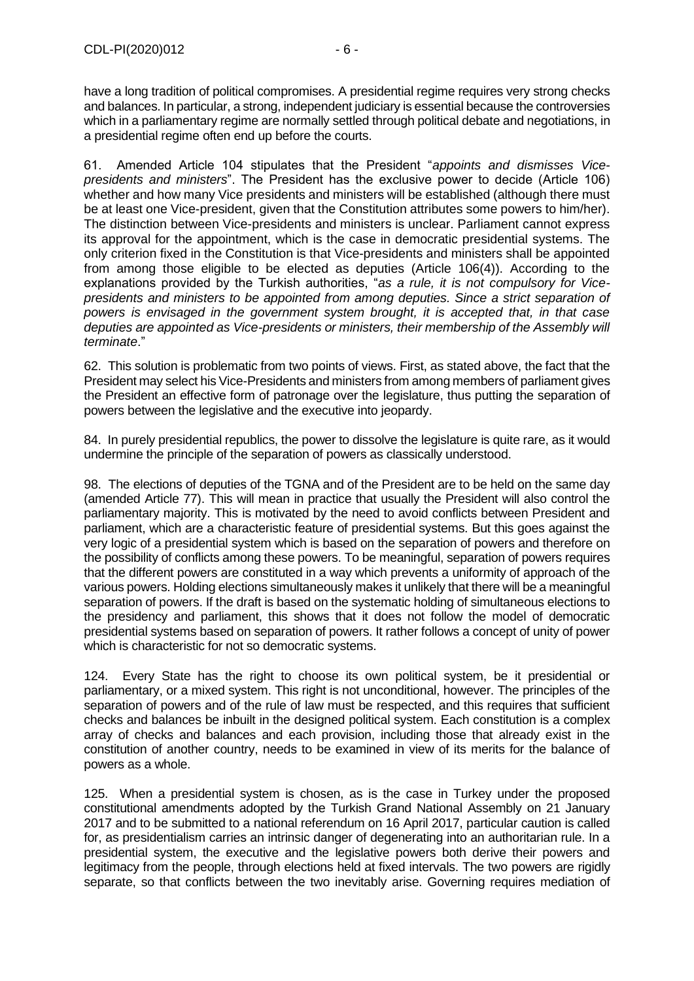have a long tradition of political compromises. A presidential regime requires very strong checks and balances. In particular, a strong, independent judiciary is essential because the controversies which in a parliamentary regime are normally settled through political debate and negotiations, in a presidential regime often end up before the courts.

61. Amended Article 104 stipulates that the President "*appoints and dismisses Vicepresidents and ministers*". The President has the exclusive power to decide (Article 106) whether and how many Vice presidents and ministers will be established (although there must be at least one Vice-president, given that the Constitution attributes some powers to him/her). The distinction between Vice-presidents and ministers is unclear. Parliament cannot express its approval for the appointment, which is the case in democratic presidential systems. The only criterion fixed in the Constitution is that Vice-presidents and ministers shall be appointed from among those eligible to be elected as deputies (Article 106(4)). According to the explanations provided by the Turkish authorities, "*as a rule, it is not compulsory for Vicepresidents and ministers to be appointed from among deputies. Since a strict separation of powers is envisaged in the government system brought, it is accepted that, in that case deputies are appointed as Vice-presidents or ministers, their membership of the Assembly will terminate*."

62. This solution is problematic from two points of views. First, as stated above, the fact that the President may select his Vice-Presidents and ministers from among members of parliament gives the President an effective form of patronage over the legislature, thus putting the separation of powers between the legislative and the executive into jeopardy.

84. In purely presidential republics, the power to dissolve the legislature is quite rare, as it would undermine the principle of the separation of powers as classically understood.

98. The elections of deputies of the TGNA and of the President are to be held on the same day (amended Article 77). This will mean in practice that usually the President will also control the parliamentary majority. This is motivated by the need to avoid conflicts between President and parliament, which are a characteristic feature of presidential systems. But this goes against the very logic of a presidential system which is based on the separation of powers and therefore on the possibility of conflicts among these powers. To be meaningful, separation of powers requires that the different powers are constituted in a way which prevents a uniformity of approach of the various powers. Holding elections simultaneously makes it unlikely that there will be a meaningful separation of powers. If the draft is based on the systematic holding of simultaneous elections to the presidency and parliament, this shows that it does not follow the model of democratic presidential systems based on separation of powers. It rather follows a concept of unity of power which is characteristic for not so democratic systems.

124. Every State has the right to choose its own political system, be it presidential or parliamentary, or a mixed system. This right is not unconditional, however. The principles of the separation of powers and of the rule of law must be respected, and this requires that sufficient checks and balances be inbuilt in the designed political system. Each constitution is a complex array of checks and balances and each provision, including those that already exist in the constitution of another country, needs to be examined in view of its merits for the balance of powers as a whole.

125. When a presidential system is chosen, as is the case in Turkey under the proposed constitutional amendments adopted by the Turkish Grand National Assembly on 21 January 2017 and to be submitted to a national referendum on 16 April 2017, particular caution is called for, as presidentialism carries an intrinsic danger of degenerating into an authoritarian rule. In a presidential system, the executive and the legislative powers both derive their powers and legitimacy from the people, through elections held at fixed intervals. The two powers are rigidly separate, so that conflicts between the two inevitably arise. Governing requires mediation of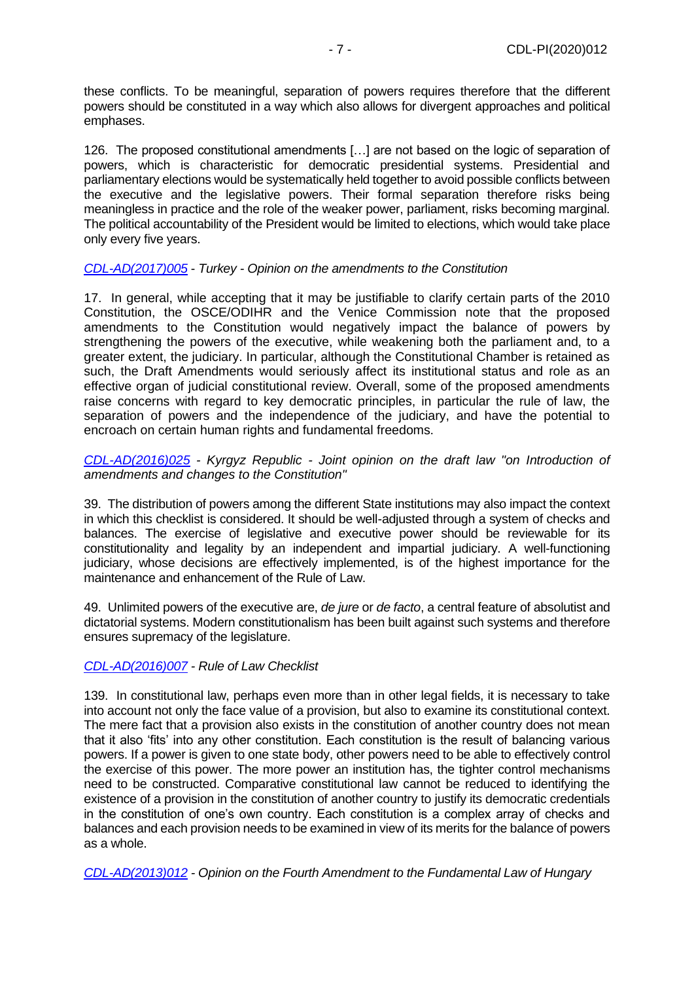these conflicts. To be meaningful, separation of powers requires therefore that the different powers should be constituted in a way which also allows for divergent approaches and political emphases.

126. The proposed constitutional amendments […] are not based on the logic of separation of powers, which is characteristic for democratic presidential systems. Presidential and parliamentary elections would be systematically held together to avoid possible conflicts between the executive and the legislative powers. Their formal separation therefore risks being meaningless in practice and the role of the weaker power, parliament, risks becoming marginal. The political accountability of the President would be limited to elections, which would take place only every five years.

## *[CDL-AD\(2017\)005](https://www.venice.coe.int/webforms/documents/?pdf=CDL-ad(2017)005-e)* - *Turkey - Opinion on the amendments to the Constitution*

17. In general, while accepting that it may be justifiable to clarify certain parts of the 2010 Constitution, the OSCE/ODIHR and the Venice Commission note that the proposed amendments to the Constitution would negatively impact the balance of powers by strengthening the powers of the executive, while weakening both the parliament and, to a greater extent, the judiciary. In particular, although the Constitutional Chamber is retained as such, the Draft Amendments would seriously affect its institutional status and role as an effective organ of judicial constitutional review. Overall, some of the proposed amendments raise concerns with regard to key democratic principles, in particular the rule of law, the separation of powers and the independence of the judiciary, and have the potential to encroach on certain human rights and fundamental freedoms.

*[CDL-AD\(2016\)025](https://www.venice.coe.int/webforms/documents/?pdf=CDL-ad(2016)025-e) - Kyrgyz Republic - Joint opinion on the draft law "on Introduction of amendments and changes to the Constitution"*

39. The distribution of powers among the different State institutions may also impact the context in which this checklist is considered. It should be well-adjusted through a system of checks and balances. The exercise of legislative and executive power should be reviewable for its constitutionality and legality by an independent and impartial judiciary. A well-functioning judiciary, whose decisions are effectively implemented, is of the highest importance for the maintenance and enhancement of the Rule of Law.

49. Unlimited powers of the executive are, *de jure* or *de facto*, a central feature of absolutist and dictatorial systems. Modern constitutionalism has been built against such systems and therefore ensures supremacy of the legislature.

## *[CDL-AD\(2016\)007](https://www.venice.coe.int/webforms/documents/?pdf=CDL-ad(2016)007-e) - Rule of Law Checklist*

139. In constitutional law, perhaps even more than in other legal fields, it is necessary to take into account not only the face value of a provision, but also to examine its constitutional context. The mere fact that a provision also exists in the constitution of another country does not mean that it also 'fits' into any other constitution. Each constitution is the result of balancing various powers. If a power is given to one state body, other powers need to be able to effectively control the exercise of this power. The more power an institution has, the tighter control mechanisms need to be constructed. Comparative constitutional law cannot be reduced to identifying the existence of a provision in the constitution of another country to justify its democratic credentials in the constitution of one's own country. Each constitution is a complex array of checks and balances and each provision needs to be examined in view of its merits for the balance of powers as a whole.

*[CDL-AD\(2013\)012](https://www.venice.coe.int/webforms/documents/?pdf=CDL-ad(2013)012-e) - Opinion on the Fourth Amendment to the Fundamental Law of Hungary*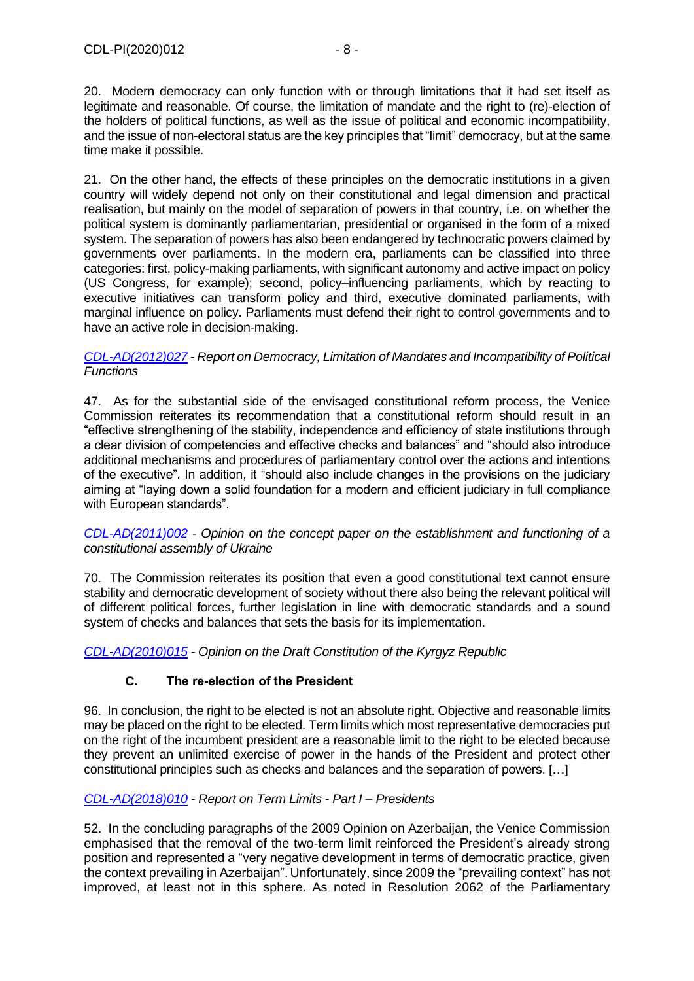20. Modern democracy can only function with or through limitations that it had set itself as legitimate and reasonable. Of course, the limitation of mandate and the right to (re)-election of the holders of political functions, as well as the issue of political and economic incompatibility, and the issue of non-electoral status are the key principles that "limit" democracy, but at the same time make it possible.

21. On the other hand, the effects of these principles on the democratic institutions in a given country will widely depend not only on their constitutional and legal dimension and practical realisation, but mainly on the model of separation of powers in that country, i.e. on whether the political system is dominantly parliamentarian, presidential or organised in the form of a mixed system. The separation of powers has also been endangered by technocratic powers claimed by governments over parliaments. In the modern era, parliaments can be classified into three categories: first, policy-making parliaments, with significant autonomy and active impact on policy (US Congress, for example); second, policy–influencing parliaments, which by reacting to executive initiatives can transform policy and third, executive dominated parliaments, with marginal influence on policy. Parliaments must defend their right to control governments and to have an active role in decision-making.

#### *[CDL-AD\(2012\)027](https://www.venice.coe.int/webforms/documents/?pdf=CDL-ad(2012)027-e) - Report on Democracy, Limitation of Mandates and Incompatibility of Political Functions*

47. As for the substantial side of the envisaged constitutional reform process, the Venice Commission reiterates its recommendation that a constitutional reform should result in an "effective strengthening of the stability, independence and efficiency of state institutions through a clear division of competencies and effective checks and balances" and "should also introduce additional mechanisms and procedures of parliamentary control over the actions and intentions of the executive". In addition, it "should also include changes in the provisions on the judiciary aiming at "laying down a solid foundation for a modern and efficient judiciary in full compliance with European standards".

*[CDL-AD\(2011\)002](https://www.venice.coe.int/webforms/documents/?pdf=CDL-ad(2011)002-e)* - *Opinion on the concept paper on the establishment and functioning of a constitutional assembly of Ukraine*

70. The Commission reiterates its position that even a good constitutional text cannot ensure stability and democratic development of society without there also being the relevant political will of different political forces, further legislation in line with democratic standards and a sound system of checks and balances that sets the basis for its implementation.

*[CDL-AD\(2010\)015](https://www.venice.coe.int/webforms/documents/?pdf=CDL-ad(2010)015-e) - Opinion on the Draft Constitution of the Kyrgyz Republic*

# **C. The re-election of the President**

<span id="page-7-0"></span>96. In conclusion, the right to be elected is not an absolute right. Objective and reasonable limits may be placed on the right to be elected. Term limits which most representative democracies put on the right of the incumbent president are a reasonable limit to the right to be elected because they prevent an unlimited exercise of power in the hands of the President and protect other constitutional principles such as checks and balances and the separation of powers. […]

## *[CDL-AD\(2018\)010](https://www.venice.coe.int/webforms/documents/?pdf=CDL-ad(2018)010-e) - Report on Term Limits - Part I – Presidents*

52. In the concluding paragraphs of the 2009 Opinion on Azerbaijan, the Venice Commission emphasised that the removal of the two-term limit reinforced the President's already strong position and represented a "very negative development in terms of democratic practice, given the context prevailing in Azerbaijan". Unfortunately, since 2009 the "prevailing context" has not improved, at least not in this sphere. As noted in Resolution 2062 of the Parliamentary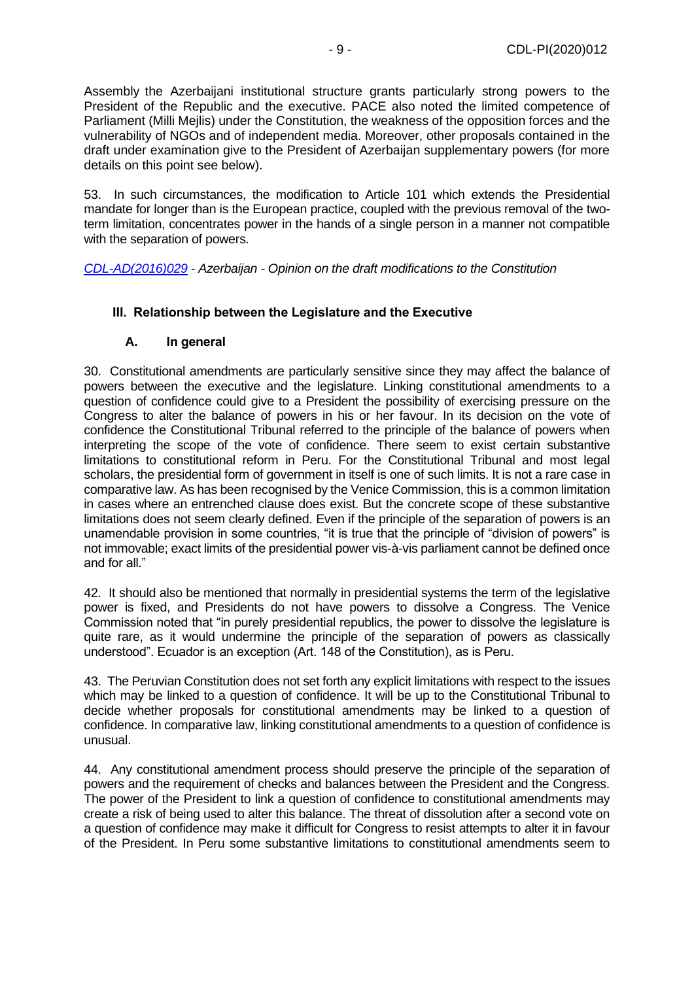Assembly the Azerbaijani institutional structure grants particularly strong powers to the President of the Republic and the executive. PACE also noted the limited competence of Parliament (Milli Mejlis) under the Constitution, the weakness of the opposition forces and the vulnerability of NGOs and of independent media. Moreover, other proposals contained in the draft under examination give to the President of Azerbaijan supplementary powers (for more details on this point see below).

53. In such circumstances, the modification to Article 101 which extends the Presidential mandate for longer than is the European practice, coupled with the previous removal of the twoterm limitation, concentrates power in the hands of a single person in a manner not compatible with the separation of powers.

*[CDL-AD\(2016\)029](https://www.venice.coe.int/webforms/documents/?pdf=CDL-ad(2016)029-e) - Azerbaijan - Opinion on the draft modifications to the Constitution*

## <span id="page-8-0"></span>**III. Relationship between the Legislature and the Executive**

## **A. In general**

<span id="page-8-1"></span>30. Constitutional amendments are particularly sensitive since they may affect the balance of powers between the executive and the legislature. Linking constitutional amendments to a question of confidence could give to a President the possibility of exercising pressure on the Congress to alter the balance of powers in his or her favour. In its decision on the vote of confidence the Constitutional Tribunal referred to the principle of the balance of powers when interpreting the scope of the vote of confidence. There seem to exist certain substantive limitations to constitutional reform in Peru. For the Constitutional Tribunal and most legal scholars, the presidential form of government in itself is one of such limits. It is not a rare case in comparative law. As has been recognised by the Venice Commission, this is a common limitation in cases where an entrenched clause does exist. But the concrete scope of these substantive limitations does not seem clearly defined. Even if the principle of the separation of powers is an unamendable provision in some countries, "it is true that the principle of "division of powers" is not immovable; exact limits of the presidential power vis-à-vis parliament cannot be defined once and for all."

42. It should also be mentioned that normally in presidential systems the term of the legislative power is fixed, and Presidents do not have powers to dissolve a Congress. The Venice Commission noted that "in purely presidential republics, the power to dissolve the legislature is quite rare, as it would undermine the principle of the separation of powers as classically understood". Ecuador is an exception (Art. 148 of the Constitution), as is Peru.

43. The Peruvian Constitution does not set forth any explicit limitations with respect to the issues which may be linked to a question of confidence. It will be up to the Constitutional Tribunal to decide whether proposals for constitutional amendments may be linked to a question of confidence. In comparative law, linking constitutional amendments to a question of confidence is unusual.

44. Any constitutional amendment process should preserve the principle of the separation of powers and the requirement of checks and balances between the President and the Congress. The power of the President to link a question of confidence to constitutional amendments may create a risk of being used to alter this balance. The threat of dissolution after a second vote on a question of confidence may make it difficult for Congress to resist attempts to alter it in favour of the President. In Peru some substantive limitations to constitutional amendments seem to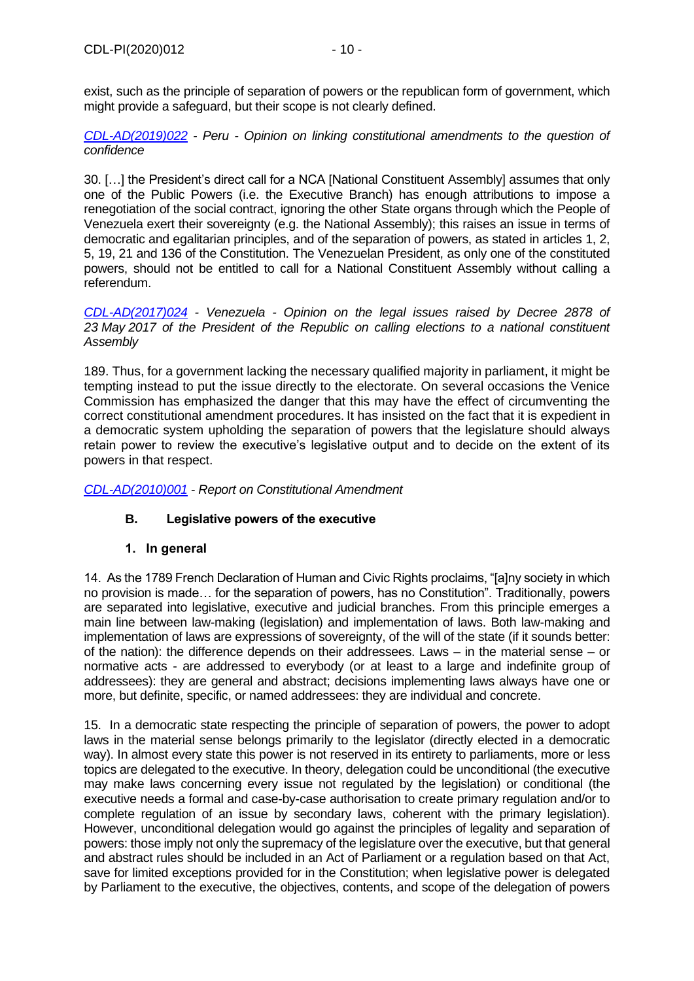exist, such as the principle of separation of powers or the republican form of government, which might provide a safeguard, but their scope is not clearly defined.

*[CDL-AD\(2019\)022](https://www.venice.coe.int/webforms/documents/?pdf=CDL-ad(2019)022-e) - Peru - Opinion on linking constitutional amendments to the question of confidence*

30. […] the President's direct call for a NCA [National Constituent Assembly] assumes that only one of the Public Powers (i.e. the Executive Branch) has enough attributions to impose a renegotiation of the social contract, ignoring the other State organs through which the People of Venezuela exert their sovereignty (e.g. the National Assembly); this raises an issue in terms of democratic and egalitarian principles, and of the separation of powers, as stated in articles 1, 2, 5, 19, 21 and 136 of the Constitution. The Venezuelan President, as only one of the constituted powers, should not be entitled to call for a National Constituent Assembly without calling a referendum.

*[CDL-AD\(2017\)024](https://www.venice.coe.int/webforms/documents/?pdf=CDL-ad(2017)024-e) - Venezuela - Opinion on the legal issues raised by Decree 2878 of 23 May 2017 of the President of the Republic on calling elections to a national constituent Assembly*

189. Thus, for a government lacking the necessary qualified majority in parliament, it might be tempting instead to put the issue directly to the electorate. On several occasions the Venice Commission has emphasized the danger that this may have the effect of circumventing the correct constitutional amendment procedures. It has insisted on the fact that it is expedient in a democratic system upholding the separation of powers that the legislature should always retain power to review the executive's legislative output and to decide on the extent of its powers in that respect.

<span id="page-9-0"></span>*[CDL-AD\(2010\)001](https://www.venice.coe.int/webforms/documents/?pdf=CDL-AD(2010)001-e) - Report on Constitutional Amendment* 

## **B. Legislative powers of the executive**

## **1. In general**

<span id="page-9-1"></span>14. As the 1789 French Declaration of Human and Civic Rights proclaims, "[a]ny society in which no provision is made… for the separation of powers, has no Constitution". Traditionally, powers are separated into legislative, executive and judicial branches. From this principle emerges a main line between law-making (legislation) and implementation of laws. Both law-making and implementation of laws are expressions of sovereignty, of the will of the state (if it sounds better: of the nation): the difference depends on their addressees. Laws – in the material sense – or normative acts - are addressed to everybody (or at least to a large and indefinite group of addressees): they are general and abstract; decisions implementing laws always have one or more, but definite, specific, or named addressees: they are individual and concrete.

15. In a democratic state respecting the principle of separation of powers, the power to adopt laws in the material sense belongs primarily to the legislator (directly elected in a democratic way). In almost every state this power is not reserved in its entirety to parliaments, more or less topics are delegated to the executive. In theory, delegation could be unconditional (the executive may make laws concerning every issue not regulated by the legislation) or conditional (the executive needs a formal and case-by-case authorisation to create primary regulation and/or to complete regulation of an issue by secondary laws, coherent with the primary legislation). However, unconditional delegation would go against the principles of legality and separation of powers: those imply not only the supremacy of the legislature over the executive, but that general and abstract rules should be included in an Act of Parliament or a regulation based on that Act, save for limited exceptions provided for in the Constitution; when legislative power is delegated by Parliament to the executive, the objectives, contents, and scope of the delegation of powers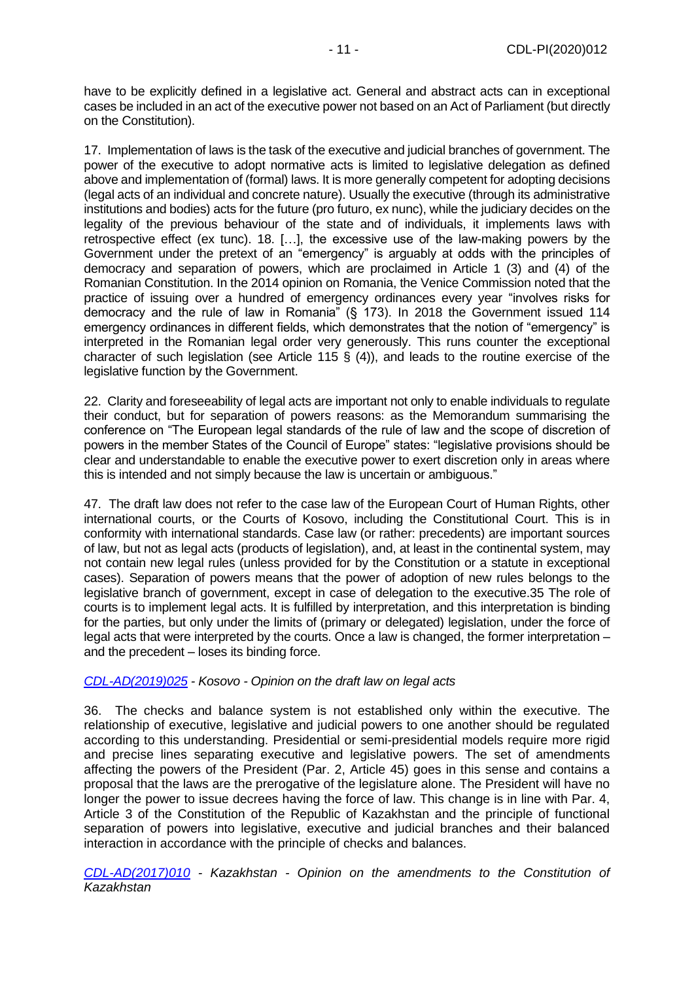have to be explicitly defined in a legislative act. General and abstract acts can in exceptional cases be included in an act of the executive power not based on an Act of Parliament (but directly on the Constitution).

17. Implementation of laws is the task of the executive and judicial branches of government. The power of the executive to adopt normative acts is limited to legislative delegation as defined above and implementation of (formal) laws. It is more generally competent for adopting decisions (legal acts of an individual and concrete nature). Usually the executive (through its administrative institutions and bodies) acts for the future (pro futuro, ex nunc), while the judiciary decides on the legality of the previous behaviour of the state and of individuals, it implements laws with retrospective effect (ex tunc). 18. […], the excessive use of the law-making powers by the Government under the pretext of an "emergency" is arguably at odds with the principles of democracy and separation of powers, which are proclaimed in Article 1 (3) and (4) of the Romanian Constitution. In the 2014 opinion on Romania, the Venice Commission noted that the practice of issuing over a hundred of emergency ordinances every year "involves risks for democracy and the rule of law in Romania" (§ 173). In 2018 the Government issued 114 emergency ordinances in different fields, which demonstrates that the notion of "emergency" is interpreted in the Romanian legal order very generously. This runs counter the exceptional character of such legislation (see Article 115 § (4)), and leads to the routine exercise of the legislative function by the Government.

22. Clarity and foreseeability of legal acts are important not only to enable individuals to regulate their conduct, but for separation of powers reasons: as the Memorandum summarising the conference on "The European legal standards of the rule of law and the scope of discretion of powers in the member States of the Council of Europe" states: "legislative provisions should be clear and understandable to enable the executive power to exert discretion only in areas where this is intended and not simply because the law is uncertain or ambiguous."

47. The draft law does not refer to the case law of the European Court of Human Rights, other international courts, or the Courts of Kosovo, including the Constitutional Court. This is in conformity with international standards. Case law (or rather: precedents) are important sources of law, but not as legal acts (products of legislation), and, at least in the continental system, may not contain new legal rules (unless provided for by the Constitution or a statute in exceptional cases). Separation of powers means that the power of adoption of new rules belongs to the legislative branch of government, except in case of delegation to the executive.35 The role of courts is to implement legal acts. It is fulfilled by interpretation, and this interpretation is binding for the parties, but only under the limits of (primary or delegated) legislation, under the force of legal acts that were interpreted by the courts. Once a law is changed, the former interpretation – and the precedent – loses its binding force.

#### *[CDL-AD\(2019\)025](https://www.venice.coe.int/webforms/documents/?pdf=CDL-ad(2019)025-e) - Kosovo - Opinion on the draft law on legal acts*

36. The checks and balance system is not established only within the executive. The relationship of executive, legislative and judicial powers to one another should be regulated according to this understanding. Presidential or semi-presidential models require more rigid and precise lines separating executive and legislative powers. The set of amendments affecting the powers of the President (Par. 2, Article 45) goes in this sense and contains a proposal that the laws are the prerogative of the legislature alone. The President will have no longer the power to issue decrees having the force of law. This change is in line with Par. 4, Article 3 of the Constitution of the Republic of Kazakhstan and the principle of functional separation of powers into legislative, executive and judicial branches and their balanced interaction in accordance with the principle of checks and balances.

*[CDL-AD\(2017\)010](https://www.venice.coe.int/webforms/documents/?pdf=CDL-ad(2017)010-e) - Kazakhstan - Opinion on the amendments to the Constitution of Kazakhstan*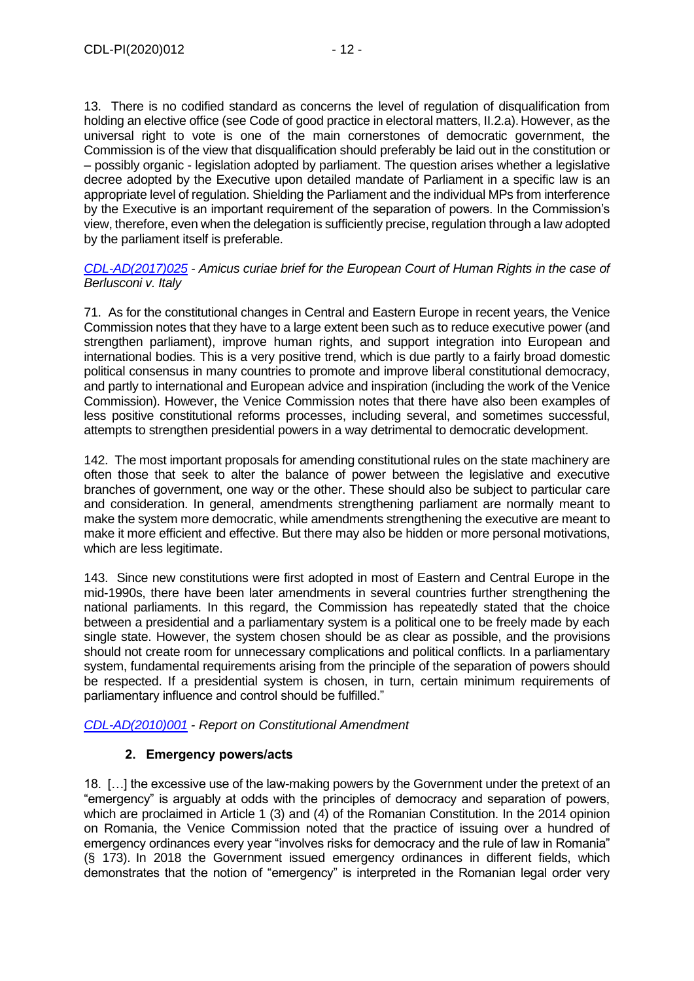13. There is no codified standard as concerns the level of regulation of disqualification from holding an elective office (see Code of good practice in electoral matters, II.2.a). However, as the universal right to vote is one of the main cornerstones of democratic government, the Commission is of the view that disqualification should preferably be laid out in the constitution or – possibly organic - legislation adopted by parliament. The question arises whether a legislative decree adopted by the Executive upon detailed mandate of Parliament in a specific law is an appropriate level of regulation. Shielding the Parliament and the individual MPs from interference by the Executive is an important requirement of the separation of powers. In the Commission's view, therefore, even when the delegation is sufficiently precise, regulation through a law adopted by the parliament itself is preferable.

*[CDL-AD\(2017\)025](https://www.venice.coe.int/webforms/documents/?pdf=CDL-ad(2017)025-e) - Amicus curiae brief for the European Court of Human Rights in the case of Berlusconi v. Italy*

71. As for the constitutional changes in Central and Eastern Europe in recent years, the Venice Commission notes that they have to a large extent been such as to reduce executive power (and strengthen parliament), improve human rights, and support integration into European and international bodies. This is a very positive trend, which is due partly to a fairly broad domestic political consensus in many countries to promote and improve liberal constitutional democracy, and partly to international and European advice and inspiration (including the work of the Venice Commission). However, the Venice Commission notes that there have also been examples of less positive constitutional reforms processes, including several, and sometimes successful, attempts to strengthen presidential powers in a way detrimental to democratic development.

142. The most important proposals for amending constitutional rules on the state machinery are often those that seek to alter the balance of power between the legislative and executive branches of government, one way or the other. These should also be subject to particular care and consideration. In general, amendments strengthening parliament are normally meant to make the system more democratic, while amendments strengthening the executive are meant to make it more efficient and effective. But there may also be hidden or more personal motivations, which are less legitimate.

143. Since new constitutions were first adopted in most of Eastern and Central Europe in the mid-1990s, there have been later amendments in several countries further strengthening the national parliaments. In this regard, the Commission has repeatedly stated that the choice between a presidential and a parliamentary system is a political one to be freely made by each single state. However, the system chosen should be as clear as possible, and the provisions should not create room for unnecessary complications and political conflicts. In a parliamentary system, fundamental requirements arising from the principle of the separation of powers should be respected. If a presidential system is chosen, in turn, certain minimum requirements of parliamentary influence and control should be fulfilled."

*[CDL-AD\(2010\)001](https://www.venice.coe.int/webforms/documents/?pdf=CDL-ad(2010)001-e) - Report on Constitutional Amendment* 

# **2. Emergency powers/acts**

<span id="page-11-0"></span>18. […] the excessive use of the law-making powers by the Government under the pretext of an "emergency" is arguably at odds with the principles of democracy and separation of powers, which are proclaimed in Article 1 (3) and (4) of the Romanian Constitution. In the 2014 opinion on Romania, the Venice Commission noted that the practice of issuing over a hundred of emergency ordinances every year "involves risks for democracy and the rule of law in Romania" (§ 173). In 2018 the Government issued emergency ordinances in different fields, which demonstrates that the notion of "emergency" is interpreted in the Romanian legal order very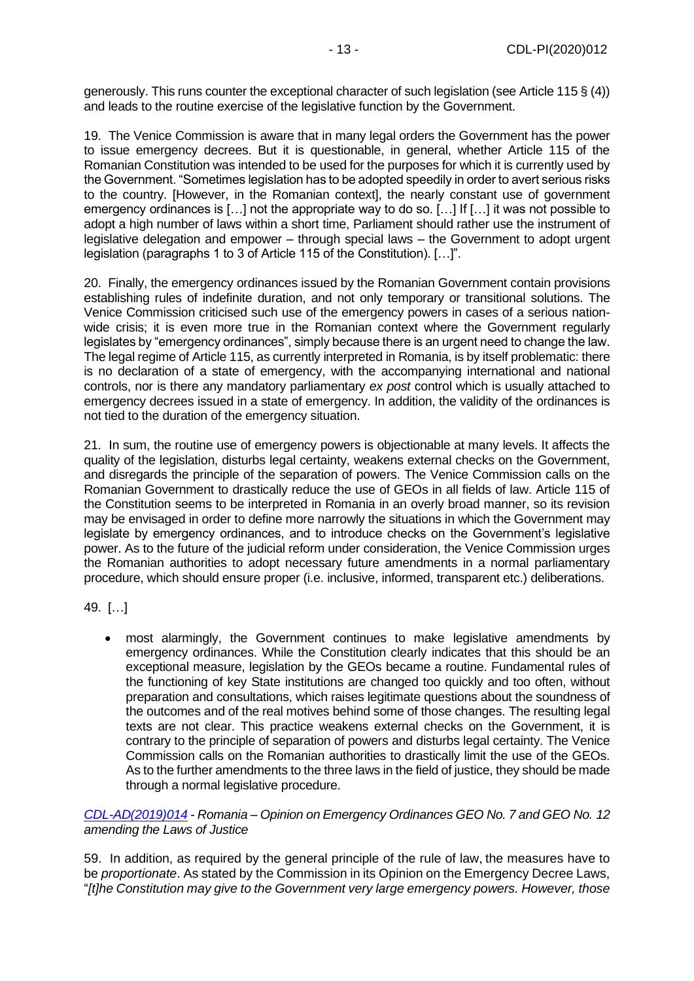generously. This runs counter the exceptional character of such legislation (see Article 115 § (4)) and leads to the routine exercise of the legislative function by the Government.

19. The Venice Commission is aware that in many legal orders the Government has the power to issue emergency decrees. But it is questionable, in general, whether Article 115 of the Romanian Constitution was intended to be used for the purposes for which it is currently used by the Government. "Sometimes legislation has to be adopted speedily in order to avert serious risks to the country. [However, in the Romanian context], the nearly constant use of government emergency ordinances is […] not the appropriate way to do so. […] If […] it was not possible to adopt a high number of laws within a short time, Parliament should rather use the instrument of legislative delegation and empower – through special laws – the Government to adopt urgent legislation (paragraphs 1 to 3 of Article 115 of the Constitution). […]".

20. Finally, the emergency ordinances issued by the Romanian Government contain provisions establishing rules of indefinite duration, and not only temporary or transitional solutions. The Venice Commission criticised such use of the emergency powers in cases of a serious nationwide crisis; it is even more true in the Romanian context where the Government regularly legislates by "emergency ordinances", simply because there is an urgent need to change the law. The legal regime of Article 115, as currently interpreted in Romania, is by itself problematic: there is no declaration of a state of emergency, with the accompanying international and national controls, nor is there any mandatory parliamentary *ex post* control which is usually attached to emergency decrees issued in a state of emergency. In addition, the validity of the ordinances is not tied to the duration of the emergency situation.

21. In sum, the routine use of emergency powers is objectionable at many levels. It affects the quality of the legislation, disturbs legal certainty, weakens external checks on the Government, and disregards the principle of the separation of powers. The Venice Commission calls on the Romanian Government to drastically reduce the use of GEOs in all fields of law. Article 115 of the Constitution seems to be interpreted in Romania in an overly broad manner, so its revision may be envisaged in order to define more narrowly the situations in which the Government may legislate by emergency ordinances, and to introduce checks on the Government's legislative power. As to the future of the judicial reform under consideration, the Venice Commission urges the Romanian authorities to adopt necessary future amendments in a normal parliamentary procedure, which should ensure proper (i.e. inclusive, informed, transparent etc.) deliberations.

49. […]

• most alarmingly, the Government continues to make legislative amendments by emergency ordinances. While the Constitution clearly indicates that this should be an exceptional measure, legislation by the GEOs became a routine. Fundamental rules of the functioning of key State institutions are changed too quickly and too often, without preparation and consultations, which raises legitimate questions about the soundness of the outcomes and of the real motives behind some of those changes. The resulting legal texts are not clear. This practice weakens external checks on the Government, it is contrary to the principle of separation of powers and disturbs legal certainty. The Venice Commission calls on the Romanian authorities to drastically limit the use of the GEOs. As to the further amendments to the three laws in the field of justice, they should be made through a normal legislative procedure.

*[CDL-AD\(2019\)014](https://www.venice.coe.int/webforms/documents/?pdf=CDL-ad(2019)014-e) - Romania – Opinion on Emergency Ordinances GEO No. 7 and GEO No. 12 amending the Laws of Justice*

59. In addition, as required by the general principle of the rule of law, the measures have to be *proportionate*. As stated by the Commission in its Opinion on the Emergency Decree Laws, "*[t]he Constitution may give to the Government very large emergency powers. However, those*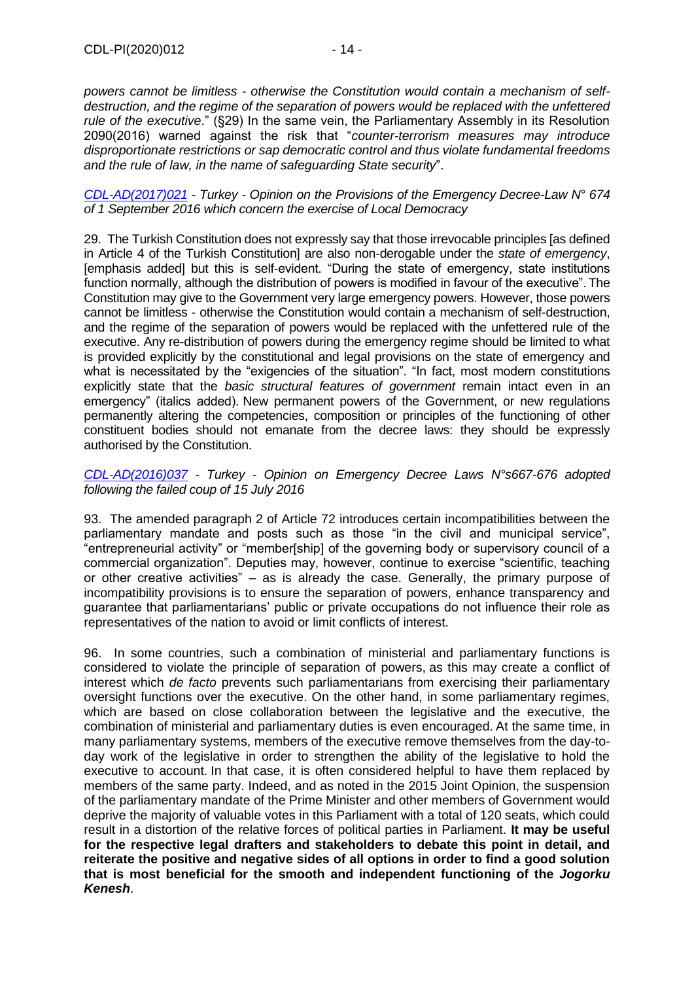*powers cannot be limitless - otherwise the Constitution would contain a mechanism of selfdestruction, and the regime of the separation of powers would be replaced with the unfettered rule of the executive*." (§29) In the same vein, the Parliamentary Assembly in its Resolution 2090(2016) warned against the risk that "*counter-terrorism measures may introduce disproportionate restrictions or sap democratic control and thus violate fundamental freedoms and the rule of law, in the name of safeguarding State security*".

*[CDL-AD\(2017\)021](https://www.venice.coe.int/webforms/documents/?pdf=CDL-ad(2017)021-e) - Turkey - Opinion on the Provisions of the Emergency Decree-Law N° 674 of 1 September 2016 which concern the exercise of Local Democracy*

29. The Turkish Constitution does not expressly say that those irrevocable principles [as defined in Article 4 of the Turkish Constitution] are also non-derogable under the *state of emergency*, [emphasis added] but this is self-evident. "During the state of emergency, state institutions function normally, although the distribution of powers is modified in favour of the executive". The Constitution may give to the Government very large emergency powers. However, those powers cannot be limitless - otherwise the Constitution would contain a mechanism of self-destruction, and the regime of the separation of powers would be replaced with the unfettered rule of the executive. Any re-distribution of powers during the emergency regime should be limited to what is provided explicitly by the constitutional and legal provisions on the state of emergency and what is necessitated by the "exigencies of the situation". "In fact, most modern constitutions explicitly state that the *basic structural features of government* remain intact even in an emergency" (italics added). New permanent powers of the Government, or new regulations permanently altering the competencies, composition or principles of the functioning of other constituent bodies should not emanate from the decree laws: they should be expressly authorised by the Constitution.

*[CDL-AD\(2016\)037](https://www.venice.coe.int/webforms/documents/?pdf=CDL-ad(2016)037-e) - Turkey - Opinion on Emergency Decree Laws N°s667-676 adopted following the failed coup of 15 July 2016*

93. The amended paragraph 2 of Article 72 introduces certain incompatibilities between the parliamentary mandate and posts such as those "in the civil and municipal service", "entrepreneurial activity" or "member[ship] of the governing body or supervisory council of a commercial organization". Deputies may, however, continue to exercise "scientific, teaching or other creative activities" – as is already the case. Generally, the primary purpose of incompatibility provisions is to ensure the separation of powers, enhance transparency and guarantee that parliamentarians' public or private occupations do not influence their role as representatives of the nation to avoid or limit conflicts of interest.

96. In some countries, such a combination of ministerial and parliamentary functions is considered to violate the principle of separation of powers, as this may create a conflict of interest which *de facto* prevents such parliamentarians from exercising their parliamentary oversight functions over the executive. On the other hand, in some parliamentary regimes, which are based on close collaboration between the legislative and the executive, the combination of ministerial and parliamentary duties is even encouraged. At the same time, in many parliamentary systems, members of the executive remove themselves from the day-today work of the legislative in order to strengthen the ability of the legislative to hold the executive to account. In that case, it is often considered helpful to have them replaced by members of the same party. Indeed, and as noted in the 2015 Joint Opinion, the suspension of the parliamentary mandate of the Prime Minister and other members of Government would deprive the majority of valuable votes in this Parliament with a total of 120 seats, which could result in a distortion of the relative forces of political parties in Parliament. **It may be useful for the respective legal drafters and stakeholders to debate this point in detail, and reiterate the positive and negative sides of all options in order to find a good solution that is most beneficial for the smooth and independent functioning of the** *Jogorku Kenesh*.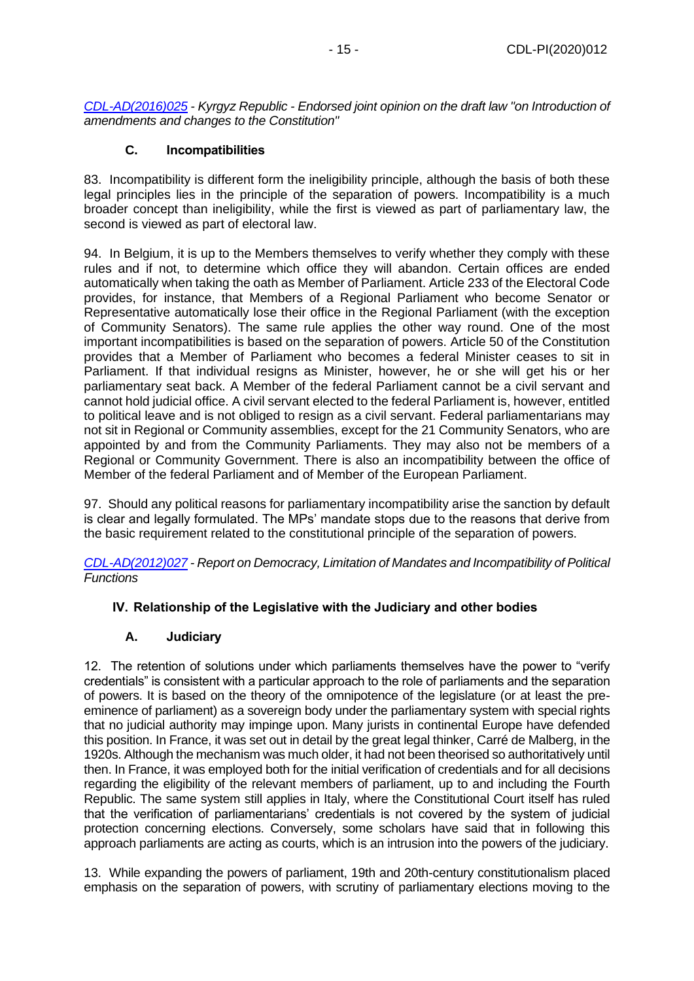*[CDL-AD\(2016\)025](https://www.venice.coe.int/webforms/documents/?pdf=CDL-ad(2016)025-e) - Kyrgyz Republic - Endorsed joint opinion on the draft law "on Introduction of amendments and changes to the Constitution"*

## **C. Incompatibilities**

<span id="page-14-0"></span>83. Incompatibility is different form the ineligibility principle, although the basis of both these legal principles lies in the principle of the separation of powers. Incompatibility is a much broader concept than ineligibility, while the first is viewed as part of parliamentary law, the second is viewed as part of electoral law.

94. In Belgium, it is up to the Members themselves to verify whether they comply with these rules and if not, to determine which office they will abandon. Certain offices are ended automatically when taking the oath as Member of Parliament. Article 233 of the Electoral Code provides, for instance, that Members of a Regional Parliament who become Senator or Representative automatically lose their office in the Regional Parliament (with the exception of Community Senators). The same rule applies the other way round. One of the most important incompatibilities is based on the separation of powers. Article 50 of the Constitution provides that a Member of Parliament who becomes a federal Minister ceases to sit in Parliament. If that individual resigns as Minister, however, he or she will get his or her parliamentary seat back. A Member of the federal Parliament cannot be a civil servant and cannot hold judicial office. A civil servant elected to the federal Parliament is, however, entitled to political leave and is not obliged to resign as a civil servant. Federal parliamentarians may not sit in Regional or Community assemblies, except for the 21 Community Senators, who are appointed by and from the Community Parliaments. They may also not be members of a Regional or Community Government. There is also an incompatibility between the office of Member of the federal Parliament and of Member of the European Parliament.

97. Should any political reasons for parliamentary incompatibility arise the sanction by default is clear and legally formulated. The MPs' mandate stops due to the reasons that derive from the basic requirement related to the constitutional principle of the separation of powers.

*[CDL-AD\(2012\)027](https://www.venice.coe.int/webforms/documents/?pdf=CDL-ad(2012)027-e) - Report on Democracy, Limitation of Mandates and Incompatibility of Political Functions*

# <span id="page-14-1"></span>**IV. Relationship of the Legislative with the Judiciary and other bodies**

## **A. Judiciary**

<span id="page-14-2"></span>12. The retention of solutions under which parliaments themselves have the power to "verify credentials" is consistent with a particular approach to the role of parliaments and the separation of powers. It is based on the theory of the omnipotence of the legislature (or at least the preeminence of parliament) as a sovereign body under the parliamentary system with special rights that no judicial authority may impinge upon. Many jurists in continental Europe have defended this position. In France, it was set out in detail by the great legal thinker, Carré de Malberg, in the 1920s. Although the mechanism was much older, it had not been theorised so authoritatively until then. In France, it was employed both for the initial verification of credentials and for all decisions regarding the eligibility of the relevant members of parliament, up to and including the Fourth Republic. The same system still applies in Italy, where the Constitutional Court itself has ruled that the verification of parliamentarians' credentials is not covered by the system of judicial protection concerning elections. Conversely, some scholars have said that in following this approach parliaments are acting as courts, which is an intrusion into the powers of the judiciary.

13. While expanding the powers of parliament, 19th and 20th-century constitutionalism placed emphasis on the separation of powers, with scrutiny of parliamentary elections moving to the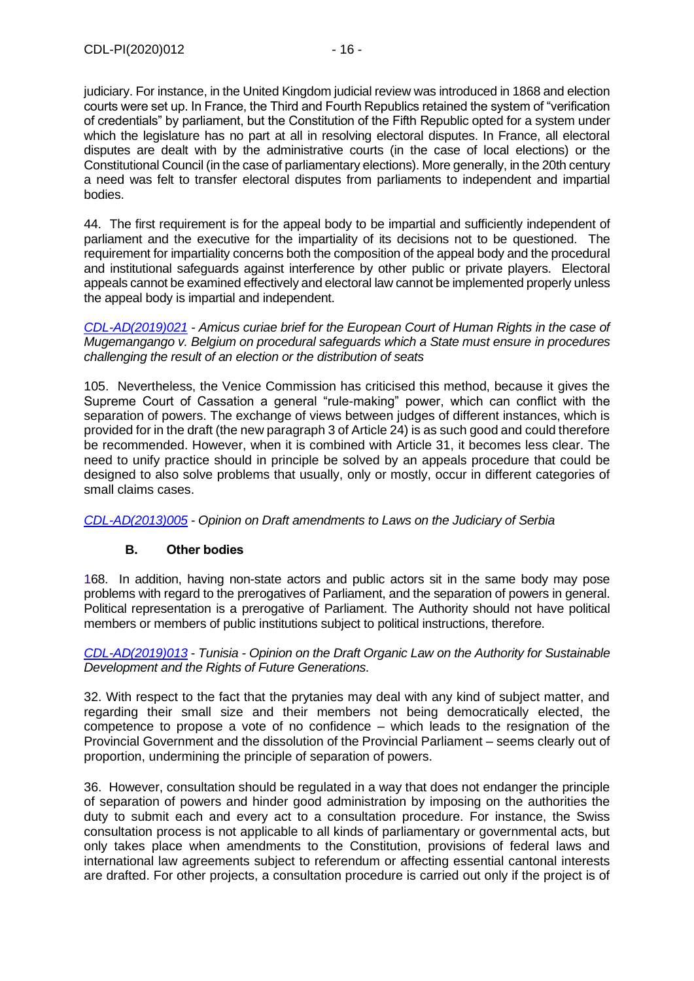judiciary. For instance, in the United Kingdom judicial review was introduced in 1868 and election courts were set up. In France, the Third and Fourth Republics retained the system of "verification of credentials" by parliament, but the Constitution of the Fifth Republic opted for a system under which the legislature has no part at all in resolving electoral disputes. In France, all electoral disputes are dealt with by the administrative courts (in the case of local elections) or the Constitutional Council (in the case of parliamentary elections). More generally, in the 20th century a need was felt to transfer electoral disputes from parliaments to independent and impartial bodies.

44. The first requirement is for the appeal body to be impartial and sufficiently independent of parliament and the executive for the impartiality of its decisions not to be questioned. The requirement for impartiality concerns both the composition of the appeal body and the procedural and institutional safeguards against interference by other public or private players. Electoral appeals cannot be examined effectively and electoral law cannot be implemented properly unless the appeal body is impartial and independent.

*[CDL-AD\(2019\)021](https://www.venice.coe.int/webforms/documents/?pdf=CDL-ad(2019)021-e) - Amicus curiae brief for the European Court of Human Rights in the case of Mugemangango v. Belgium on procedural safeguards which a State must ensure in procedures challenging the result of an election or the distribution of seats*

105. Nevertheless, the Venice Commission has criticised this method, because it gives the Supreme Court of Cassation a general "rule-making" power, which can conflict with the separation of powers. The exchange of views between judges of different instances, which is provided for in the draft (the new paragraph 3 of Article 24) is as such good and could therefore be recommended. However, when it is combined with Article 31, it becomes less clear. The need to unify practice should in principle be solved by an appeals procedure that could be designed to also solve problems that usually, only or mostly, occur in different categories of small claims cases.

*[CDL-AD\(2013\)005](https://www.venice.coe.int/webforms/documents/?pdf=CDL-ad(2013)005-e) - Opinion on Draft amendments to Laws on the Judiciary of Serbia*

## **B. Other bodies**

<span id="page-15-0"></span>168. In addition, having non-state actors and public actors sit in the same body may pose problems with regard to the prerogatives of Parliament, and the separation of powers in general. Political representation is a prerogative of Parliament. The Authority should not have political members or members of public institutions subject to political instructions, therefore.

*[CDL-AD\(2019\)013](https://www.venice.coe.int/webforms/documents/?pdf=CDL-ad(2019)013-e)* - *Tunisia - [Opinion on the Draft Organic Law on the Authority for Sustainable](about:blank)  [Development and the Rights of Future Generations](about:blank)*.

32. With respect to the fact that the prytanies may deal with any kind of subject matter, and regarding their small size and their members not being democratically elected, the competence to propose a vote of no confidence – which leads to the resignation of the Provincial Government and the dissolution of the Provincial Parliament – seems clearly out of proportion, undermining the principle of separation of powers.

36. However, consultation should be regulated in a way that does not endanger the principle of separation of powers and hinder good administration by imposing on the authorities the duty to submit each and every act to a consultation procedure. For instance, the Swiss consultation process is not applicable to all kinds of parliamentary or governmental acts, but only takes place when amendments to the Constitution, provisions of federal laws and international law agreements subject to referendum or affecting essential cantonal interests are drafted. For other projects, a consultation procedure is carried out only if the project is of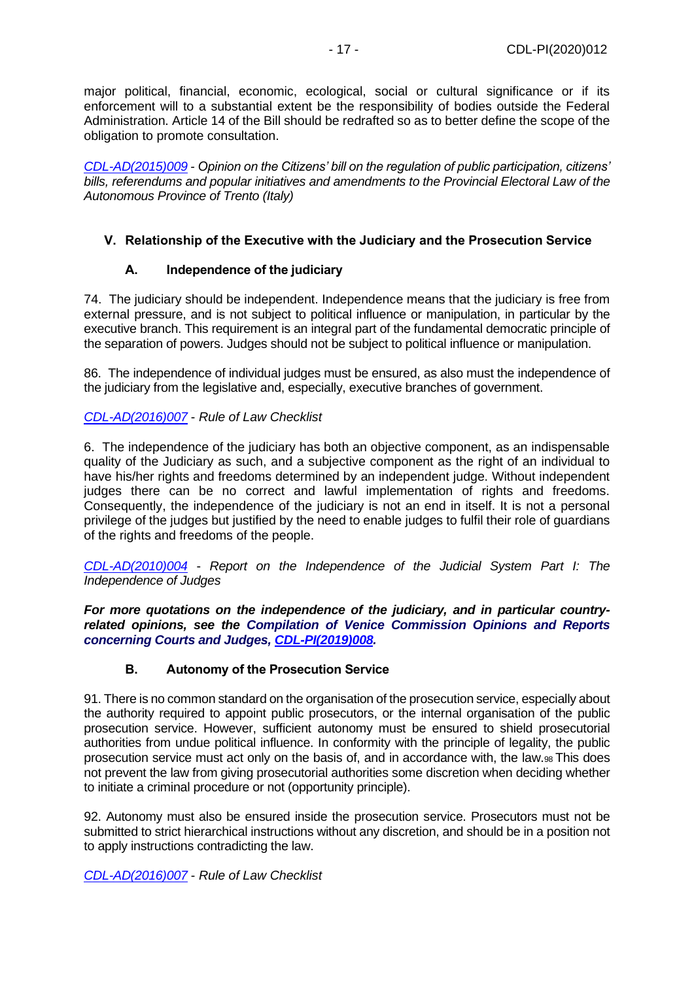major political, financial, economic, ecological, social or cultural significance or if its enforcement will to a substantial extent be the responsibility of bodies outside the Federal Administration. Article 14 of the Bill should be redrafted so as to better define the scope of the obligation to promote consultation.

*[CDL-AD\(2015\)009](https://www.venice.coe.int/webforms/documents/?pdf=CDL-ad(2015)009-e) - Opinion on the Citizens' bill on the regulation of public participation, citizens' bills, referendums and popular initiatives and amendments to the Provincial Electoral Law of the Autonomous Province of Trento (Italy)*

## <span id="page-16-0"></span>**V. Relationship of the Executive with the Judiciary and the Prosecution Service**

## **A. Independence of the judiciary**

<span id="page-16-1"></span>74. The judiciary should be independent. Independence means that the judiciary is free from external pressure, and is not subject to political influence or manipulation, in particular by the executive branch. This requirement is an integral part of the fundamental democratic principle of the separation of powers. Judges should not be subject to political influence or manipulation.

86. The independence of individual judges must be ensured, as also must the independence of the judiciary from the legislative and, especially, executive branches of government.

## *[CDL-AD\(2016\)007](https://www.venice.coe.int/webforms/documents/?pdf=CDL-ad(2016)007-e)* - *Rule of Law Checklist*

6. The independence of the judiciary has both an objective component, as an indispensable quality of the Judiciary as such, and a subjective component as the right of an individual to have his/her rights and freedoms determined by an independent judge. Without independent judges there can be no correct and lawful implementation of rights and freedoms. Consequently, the independence of the judiciary is not an end in itself. It is not a personal privilege of the judges but justified by the need to enable judges to fulfil their role of guardians of the rights and freedoms of the people.

*[CDL-AD\(2010\)004](https://www.venice.coe.int/webforms/documents/?pdf=CDL-ad(2010)004-e)* - *Report on the Independence of the Judicial System Part I: The Independence of Judges*

*For more quotations on the independence of the judiciary, and in particular countryrelated opinions, see the Compilation of Venice Commission Opinions and Reports concerning Courts and Judges, [CDL-PI\(2019\)008.](https://www.venice.coe.int/webforms/documents/?pdf=CDL-PI(2019)008-e)*

## **B. Autonomy of the Prosecution Service**

<span id="page-16-2"></span>91. There is no common standard on the organisation of the prosecution service, especially about the authority required to appoint public prosecutors, or the internal organisation of the public prosecution service. However, sufficient autonomy must be ensured to shield prosecutorial authorities from undue political influence. In conformity with the principle of legality, the public prosecution service must act only on the basis of, and in accordance with, the law.98 This does not prevent the law from giving prosecutorial authorities some discretion when deciding whether to initiate a criminal procedure or not (opportunity principle).

92. Autonomy must also be ensured inside the prosecution service. Prosecutors must not be submitted to strict hierarchical instructions without any discretion, and should be in a position not to apply instructions contradicting the law.

*[CDL-AD\(2016\)007](https://www.venice.coe.int/webforms/documents/?pdf=CDL-ad(2016)007-e)* - *Rule of Law Checklist*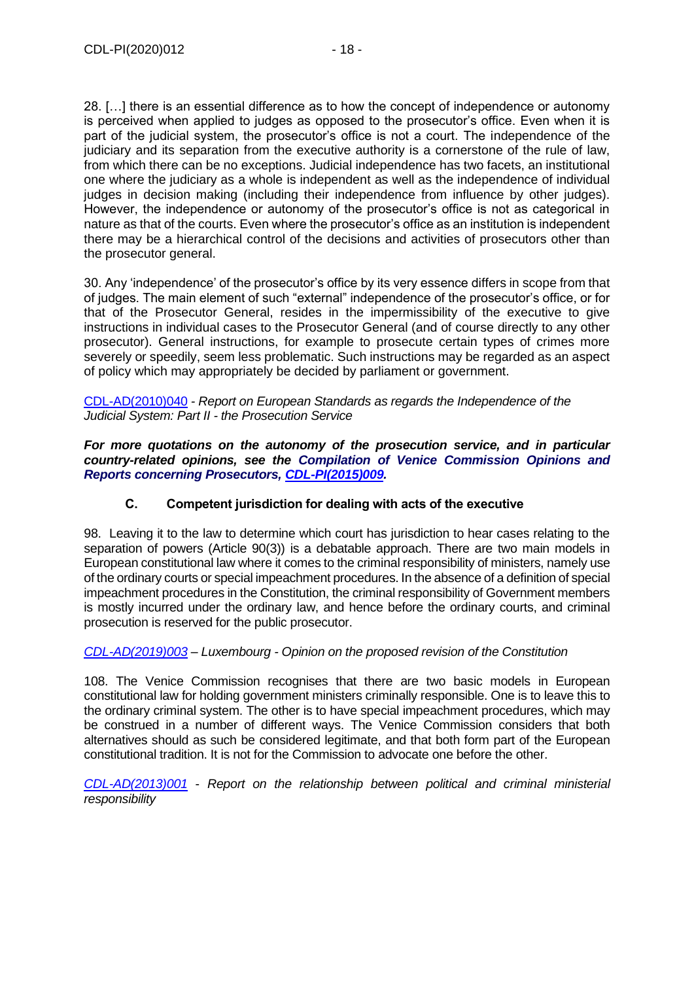28. […] there is an essential difference as to how the concept of independence or autonomy is perceived when applied to judges as opposed to the prosecutor's office. Even when it is part of the judicial system, the prosecutor's office is not a court. The independence of the judiciary and its separation from the executive authority is a cornerstone of the rule of law, from which there can be no exceptions. Judicial independence has two facets, an institutional one where the judiciary as a whole is independent as well as the independence of individual judges in decision making (including their independence from influence by other judges). However, the independence or autonomy of the prosecutor's office is not as categorical in nature as that of the courts. Even where the prosecutor's office as an institution is independent there may be a hierarchical control of the decisions and activities of prosecutors other than the prosecutor general.

30. Any 'independence' of the prosecutor's office by its very essence differs in scope from that of judges. The main element of such "external" independence of the prosecutor's office, or for that of the Prosecutor General, resides in the impermissibility of the executive to give instructions in individual cases to the Prosecutor General (and of course directly to any other prosecutor). General instructions, for example to prosecute certain types of crimes more severely or speedily, seem less problematic. Such instructions may be regarded as an aspect of policy which may appropriately be decided by parliament or government.

[CDL-AD\(2010\)040](https://www.venice.coe.int/webforms/documents/?pdf=CDL-ad(2010)040-e) *- Report on European Standards as regards the Independence of the Judicial System: Part II - the Prosecution Service*

*For more quotations on the autonomy of the prosecution service, and in particular country-related opinions, see the Compilation of Venice Commission Opinions and Reports concerning Prosecutors, [CDL-PI\(2015\)009.](https://www.venice.coe.int/webforms/documents/?pdf=CDL-PI(2015)009-e)*

# **C. Competent jurisdiction for dealing with acts of the executive**

<span id="page-17-0"></span>98. Leaving it to the law to determine which court has jurisdiction to hear cases relating to the separation of powers (Article 90(3)) is a debatable approach. There are two main models in European constitutional law where it comes to the criminal responsibility of ministers, namely use of the ordinary courts or special impeachment procedures. In the absence of a definition of special impeachment procedures in the Constitution, the criminal responsibility of Government members is mostly incurred under the ordinary law, and hence before the ordinary courts, and criminal prosecution is reserved for the public prosecutor.

## *[CDL-AD\(2019\)003](https://www.venice.coe.int/webforms/documents/?pdf=CDL-ad(2019)003-e) – Luxembourg - Opinion on the proposed revision of the Constitution*

108. The Venice Commission recognises that there are two basic models in European constitutional law for holding government ministers criminally responsible. One is to leave this to the ordinary criminal system. The other is to have special impeachment procedures, which may be construed in a number of different ways. The Venice Commission considers that both alternatives should as such be considered legitimate, and that both form part of the European constitutional tradition. It is not for the Commission to advocate one before the other.

*[CDL-AD\(2013\)001](https://www.venice.coe.int/webforms/documents/default.aspx?pdffile=CDL-AD(2013)001-e)* - *Report on the relationship between political and criminal ministerial responsibility*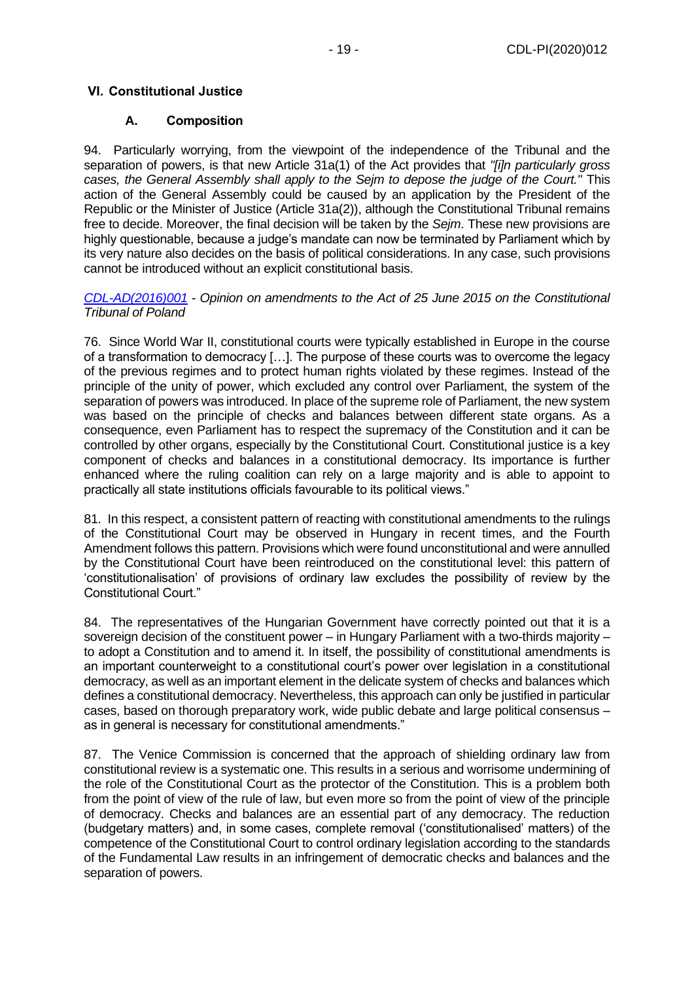## <span id="page-18-0"></span>**VI. Constitutional Justice**

## **A. Composition**

<span id="page-18-1"></span>94. Particularly worrying, from the viewpoint of the independence of the Tribunal and the separation of powers, is that new Article 31a(1) of the Act provides that *"[i]n particularly gross cases, the General Assembly shall apply to the Sejm to depose the judge of the Court."* This action of the General Assembly could be caused by an application by the President of the Republic or the Minister of Justice (Article 31a(2)), although the Constitutional Tribunal remains free to decide. Moreover, the final decision will be taken by the *Sejm*. These new provisions are highly questionable, because a judge's mandate can now be terminated by Parliament which by its very nature also decides on the basis of political considerations. In any case, such provisions cannot be introduced without an explicit constitutional basis.

*[CDL-AD\(2016\)001](https://www.venice.coe.int/webforms/documents/?pdf=CDL-ad(2016)001-e) - Opinion on amendments to the Act of 25 June 2015 on the Constitutional Tribunal of Poland*

76. Since World War II, constitutional courts were typically established in Europe in the course of a transformation to democracy […]. The purpose of these courts was to overcome the legacy of the previous regimes and to protect human rights violated by these regimes. Instead of the principle of the unity of power, which excluded any control over Parliament, the system of the separation of powers was introduced. In place of the supreme role of Parliament, the new system was based on the principle of checks and balances between different state organs. As a consequence, even Parliament has to respect the supremacy of the Constitution and it can be controlled by other organs, especially by the Constitutional Court. Constitutional justice is a key component of checks and balances in a constitutional democracy. Its importance is further enhanced where the ruling coalition can rely on a large majority and is able to appoint to practically all state institutions officials favourable to its political views."

81. In this respect, a consistent pattern of reacting with constitutional amendments to the rulings of the Constitutional Court may be observed in Hungary in recent times, and the Fourth Amendment follows this pattern. Provisions which were found unconstitutional and were annulled by the Constitutional Court have been reintroduced on the constitutional level: this pattern of 'constitutionalisation' of provisions of ordinary law excludes the possibility of review by the Constitutional Court."

84. The representatives of the Hungarian Government have correctly pointed out that it is a sovereign decision of the constituent power – in Hungary Parliament with a two-thirds majority – to adopt a Constitution and to amend it. In itself, the possibility of constitutional amendments is an important counterweight to a constitutional court's power over legislation in a constitutional democracy, as well as an important element in the delicate system of checks and balances which defines a constitutional democracy. Nevertheless, this approach can only be justified in particular cases, based on thorough preparatory work, wide public debate and large political consensus – as in general is necessary for constitutional amendments."

87. The Venice Commission is concerned that the approach of shielding ordinary law from constitutional review is a systematic one. This results in a serious and worrisome undermining of the role of the Constitutional Court as the protector of the Constitution. This is a problem both from the point of view of the rule of law, but even more so from the point of view of the principle of democracy. Checks and balances are an essential part of any democracy. The reduction (budgetary matters) and, in some cases, complete removal ('constitutionalised' matters) of the competence of the Constitutional Court to control ordinary legislation according to the standards of the Fundamental Law results in an infringement of democratic checks and balances and the separation of powers.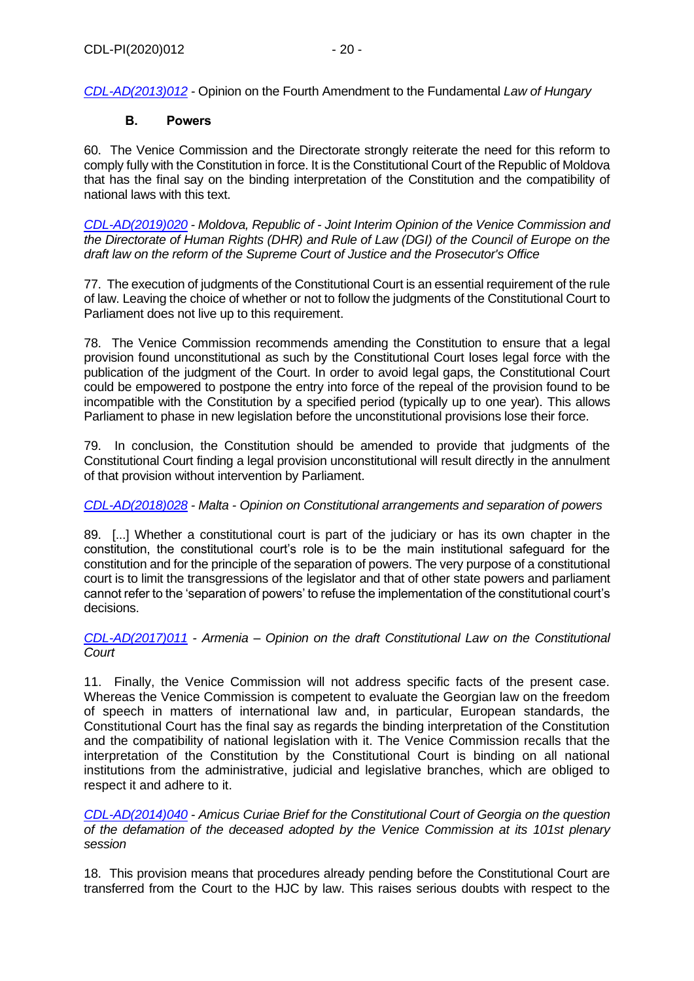*[CDL-AD\(2013\)012](https://www.venice.coe.int/webforms/documents/?pdf=CDL-ad(2013)012-e) -* Opinion on the Fourth Amendment to the Fundamental *Law of Hungary*

## **B. Powers**

<span id="page-19-0"></span>60. The Venice Commission and the Directorate strongly reiterate the need for this reform to comply fully with the Constitution in force. It is the Constitutional Court of the Republic of Moldova that has the final say on the binding interpretation of the Constitution and the compatibility of national laws with this text.

*[CDL-AD\(2019\)020](https://www.venice.coe.int/webforms/documents/?pdf=CDL-AD(2019)020-e) - Moldova, Republic of - Joint Interim Opinion of the Venice Commission and the Directorate of Human Rights (DHR) and Rule of Law (DGI) of the Council of Europe on the draft law on the reform of the Supreme Court of Justice and the Prosecutor's Office*

77. The execution of judgments of the Constitutional Court is an essential requirement of the rule of law. Leaving the choice of whether or not to follow the judgments of the Constitutional Court to Parliament does not live up to this requirement.

78. The Venice Commission recommends amending the Constitution to ensure that a legal provision found unconstitutional as such by the Constitutional Court loses legal force with the publication of the judgment of the Court. In order to avoid legal gaps, the Constitutional Court could be empowered to postpone the entry into force of the repeal of the provision found to be incompatible with the Constitution by a specified period (typically up to one year). This allows Parliament to phase in new legislation before the unconstitutional provisions lose their force.

79. In conclusion, the Constitution should be amended to provide that judgments of the Constitutional Court finding a legal provision unconstitutional will result directly in the annulment of that provision without intervention by Parliament.

## *[CDL-AD\(2018\)028](https://www.venice.coe.int/webforms/documents/?pdf=CDL-AD(2018)028-e) - Malta - Opinion on Constitutional arrangements and separation of powers*

89. [...] Whether a constitutional court is part of the judiciary or has its own chapter in the constitution, the constitutional court's role is to be the main institutional safeguard for the constitution and for the principle of the separation of powers. The very purpose of a constitutional court is to limit the transgressions of the legislator and that of other state powers and parliament cannot refer to the 'separation of powers' to refuse the implementation of the constitutional court's decisions.

*[CDL-AD\(2017\)011](https://www.venice.coe.int/webforms/documents/?pdf=CDL-AD(2017)011-e) - Armenia – Opinion on the draft Constitutional Law on the Constitutional Court*

11. Finally, the Venice Commission will not address specific facts of the present case. Whereas the Venice Commission is competent to evaluate the Georgian law on the freedom of speech in matters of international law and, in particular, European standards, the Constitutional Court has the final say as regards the binding interpretation of the Constitution and the compatibility of national legislation with it. The Venice Commission recalls that the interpretation of the Constitution by the Constitutional Court is binding on all national institutions from the administrative, judicial and legislative branches, which are obliged to respect it and adhere to it.

*[CDL-AD\(2014\)040](https://www.venice.coe.int/webforms/documents/?pdf=CDL-AD(2014)040-e) - Amicus Curiae Brief for the Constitutional Court of Georgia on the question of the defamation of the deceased adopted by the Venice Commission at its 101st plenary session*

18. This provision means that procedures already pending before the Constitutional Court are transferred from the Court to the HJC by law. This raises serious doubts with respect to the